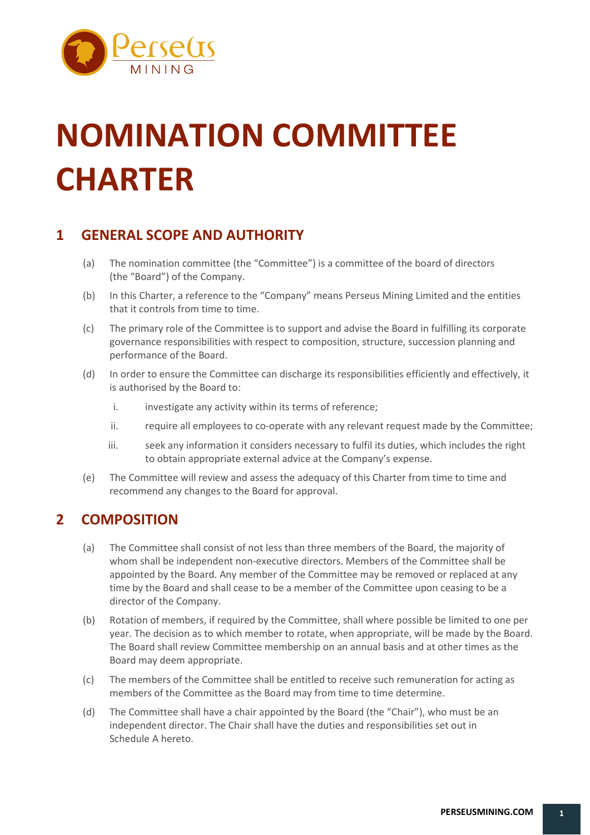

# **NOMINATION COMMITTEE CHARTER**

## **1 GENERAL SCOPE AND AUTHORITY**

- (a) The nomination committee (the "Committee") is a committee of the board of directors (the "Board") of the Company.
- (b) In this Charter, a reference to the "Company" means Perseus Mining Limited and the entities that it controls from time to time.
- (c) The primary role of the Committee is to support and advise the Board in fulfilling its corporate governance responsibilities with respect to composition, structure, succession planning and performance of the Board.
- (d) In order to ensure the Committee can discharge its responsibilities efficiently and effectively, it is authorised by the Board to:
	- i. investigate any activity within its terms of reference;
	- ii. require all employees to co-operate with any relevant request made by the Committee;
	- iii. seek any information it considers necessary to fulfil its duties, which includes the right to obtain appropriate external advice at the Company's expense.
- (e) The Committee will review and assess the adequacy of this Charter from time to time and recommend any changes to the Board for approval.

## **2 COMPOSITION**

- (a) The Committee shall consist of not less than three members of the Board, the majority of whom shall be independent non-executive directors. Members of the Committee shall be appointed by the Board. Any member of the Committee may be removed or replaced at any time by the Board and shall cease to be a member of the Committee upon ceasing to be a director of the Company.
- (b) Rotation of members, if required by the Committee, shall where possible be limited to one per year. The decision as to which member to rotate, when appropriate, will be made by the Board. The Board shall review Committee membership on an annual basis and at other times as the Board may deem appropriate.
- (c) The members of the Committee shall be entitled to receive such remuneration for acting as members of the Committee as the Board may from time to time determine.
- (d) The Committee shall have a chair appointed by the Board (the "Chair"), who must be an independent director. The Chair shall have the duties and responsibilities set out in Schedule A hereto.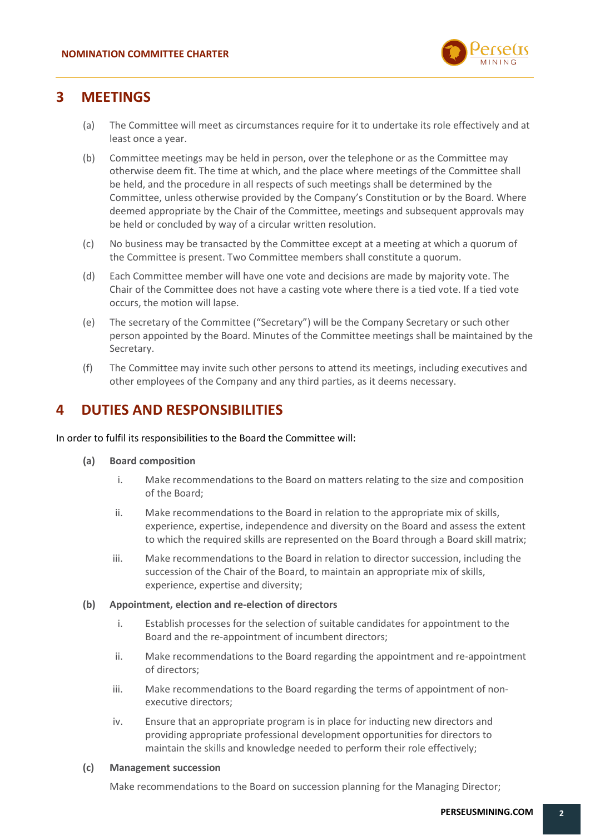

### **3 MEETINGS**

- (a) The Committee will meet as circumstances require for it to undertake its role effectively and at least once a year.
- (b) Committee meetings may be held in person, over the telephone or as the Committee may otherwise deem fit. The time at which, and the place where meetings of the Committee shall be held, and the procedure in all respects of such meetings shall be determined by the Committee, unless otherwise provided by the Company's Constitution or by the Board. Where deemed appropriate by the Chair of the Committee, meetings and subsequent approvals may be held or concluded by way of a circular written resolution.
- (c) No business may be transacted by the Committee except at a meeting at which a quorum of the Committee is present. Two Committee members shall constitute a quorum.
- (d) Each Committee member will have one vote and decisions are made by majority vote. The Chair of the Committee does not have a casting vote where there is a tied vote. If a tied vote occurs, the motion will lapse.
- (e) The secretary of the Committee ("Secretary") will be the Company Secretary or such other person appointed by the Board. Minutes of the Committee meetings shall be maintained by the Secretary.
- (f) The Committee may invite such other persons to attend its meetings, including executives and other employees of the Company and any third parties, as it deems necessary.

## **4 DUTIES AND RESPONSIBILITIES**

#### In order to fulfil its responsibilities to the Board the Committee will:

- **(a) Board composition** 
	- i. Make recommendations to the Board on matters relating to the size and composition of the Board;
	- ii. Make recommendations to the Board in relation to the appropriate mix of skills, experience, expertise, independence and diversity on the Board and assess the extent to which the required skills are represented on the Board through a Board skill matrix;
	- iii. Make recommendations to the Board in relation to director succession, including the succession of the Chair of the Board, to maintain an appropriate mix of skills, experience, expertise and diversity;

#### **(b) Appointment, election and re-election of directors**

- i. Establish processes for the selection of suitable candidates for appointment to the Board and the re-appointment of incumbent directors;
- ii. Make recommendations to the Board regarding the appointment and re-appointment of directors;
- iii. Make recommendations to the Board regarding the terms of appointment of nonexecutive directors;
- iv. Ensure that an appropriate program is in place for inducting new directors and providing appropriate professional development opportunities for directors to maintain the skills and knowledge needed to perform their role effectively;

#### **(c) Management succession**

Make recommendations to the Board on succession planning for the Managing Director;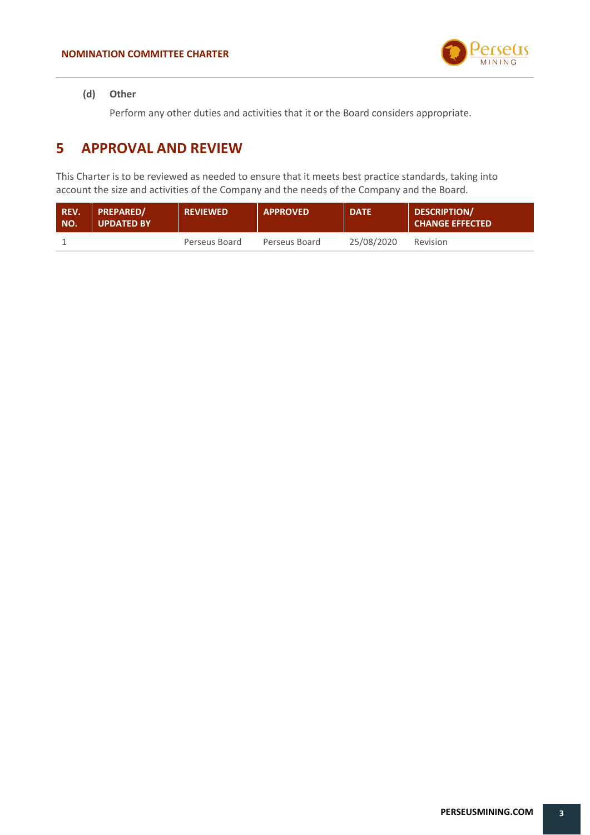

#### **(d) Other**

Perform any other duties and activities that it or the Board considers appropriate.

## **5 APPROVAL AND REVIEW**

This Charter is to be reviewed as needed to ensure that it meets best practice standards, taking into account the size and activities of the Company and the needs of the Company and the Board.

| REV.<br>NO. | <b>PREPARED/</b><br>UPDATED BY | <b>REVIEWED</b> | <b>APPROVED</b> | <b>DATE</b> | <b>DESCRIPTION/</b><br><b>CHANGE EFFECTED</b> |
|-------------|--------------------------------|-----------------|-----------------|-------------|-----------------------------------------------|
|             |                                | Perseus Board   | Perseus Board   | 25/08/2020  | Revision                                      |

**3**